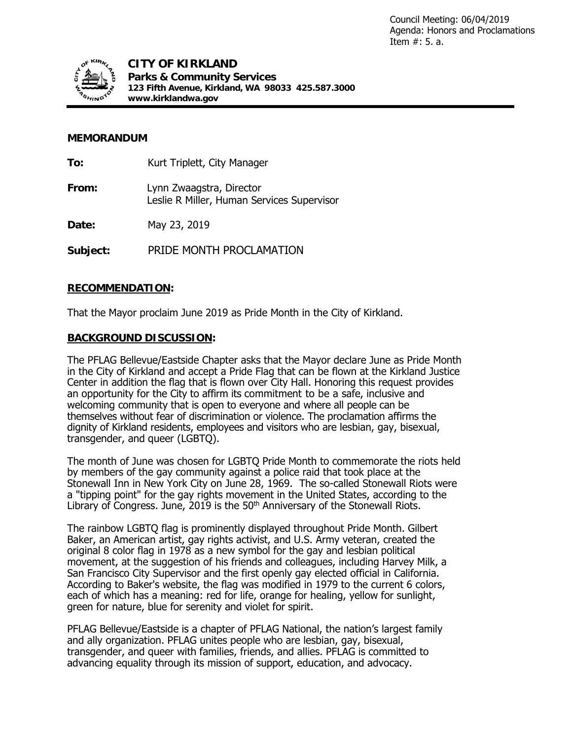

## **MEMORANDUM**

| To:      | Kurt Triplett, City Manager                                            |
|----------|------------------------------------------------------------------------|
| From:    | Lynn Zwaagstra, Director<br>Leslie R Miller, Human Services Supervisor |
| Date:    | May 23, 2019                                                           |
| Subject: | PRIDE MONTH PROCLAMATION                                               |

## **RECOMMENDATION:**

That the Mayor proclaim June 2019 as Pride Month in the City of Kirkland.

#### **BACKGROUND DISCUSSION:**

The PFLAG Bellevue/Eastside Chapter asks that the Mayor declare June as Pride Month in the City of Kirkland and accept a Pride Flag that can be flown at the Kirkland Justice Center in addition the flag that is flown over City Hall. Honoring this request provides an opportunity for the City to affirm its commitment to be a safe, inclusive and welcoming community that is open to everyone and where all people can be themselves without fear of discrimination or violence. The proclamation affirms the dignity of Kirkland residents, employees and visitors who are lesbian, gay, bisexual, transgender, and queer (LGBTQ).

The month of June was chosen for LGBTQ Pride Month to commemorate the riots held by members of the gay community against a police raid that took place at the Stonewall Inn in New York City on June 28, 1969. The so-called Stonewall Riots were a "tipping point" for the gay rights movement in the United States, according to the Library of Congress. June, 2019 is the  $50<sup>th</sup>$  Anniversary of the Stonewall Riots.

The rainbow LGBTQ flag is prominently displayed throughout Pride Month. Gilbert Baker, an American artist, gay rights activist, and U.S. Army veteran, created the original 8 color flag in 1978 as a new symbol for the gay and lesbian political movement, at the suggestion of his friends and colleagues, including Harvey Milk, a San Francisco City Supervisor and the first openly gay elected official in California. According to [Baker's website,](https://gilbertbaker.com/rainblow-flag-color-meanings/) the flag was modified in 1979 to the current 6 colors, each of which has a meaning: red for life, orange for healing, yellow for sunlight, green for nature, blue for serenity and violet for spirit.

PFLAG Bellevue/Eastside is a chapter of [PFLAG National,](http://www.pflag.org/) the nation's largest family and ally organization. PFLAG unites people who are lesbian, gay, bisexual, transgender, and queer with families, friends, and allies. PFLAG is committed to advancing equality through its mission of support, education, and advocacy.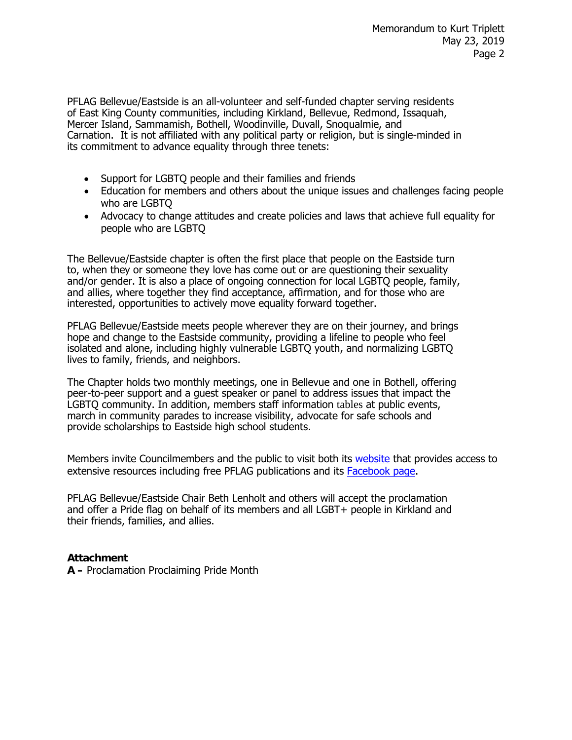PFLAG Bellevue/Eastside is an all-volunteer and self-funded chapter serving residents of East King County communities, including Kirkland, Bellevue, Redmond, Issaquah, Mercer Island, Sammamish, Bothell, Woodinville, Duvall, Snoqualmie, and Carnation. It is not affiliated with any political party or religion, but is single-minded in its commitment to advance equality through three tenets:

- Support for LGBTQ people and their families and friends
- Education for members and others about the unique issues and challenges facing people who are LGBTQ
- Advocacy to change attitudes and create policies and laws that achieve full equality for people who are LGBTQ

The Bellevue/Eastside chapter is often the first place that people on the Eastside turn to, when they or someone they love has come out or are questioning their sexuality and/or gender. It is also a place of ongoing connection for local LGBTQ people, family, and allies, where together they find acceptance, affirmation, and for those who are interested, opportunities to actively move equality forward together.

PFLAG Bellevue/Eastside meets people wherever they are on their journey, and brings hope and change to the Eastside community, providing a lifeline to people who feel isolated and alone, including highly vulnerable LGBTQ youth, and normalizing LGBTQ lives to family, friends, and neighbors.

The Chapter holds two monthly meetings, one in Bellevue and one in Bothell, offering peer-to-peer support and a guest speaker or panel to address issues that impact the LGBTQ community. In addition, members staff information tables at public events, march in community parades to increase visibility, advocate for safe schools and provide scholarships to Eastside high school students.

Members invite Councilmembers and the public to visit both its [website](https://pflagbellevue.org/) that provides access to extensive resources including free PFLAG publications and its [Facebook page.](https://www.facebook.com/pflagbellevueeastside/)

PFLAG Bellevue/Eastside Chair Beth Lenholt and others will accept the proclamation and offer a Pride flag on behalf of its members and all LGBT+ people in Kirkland and their friends, families, and allies.

# **Attachment**

**A –** Proclamation Proclaiming Pride Month